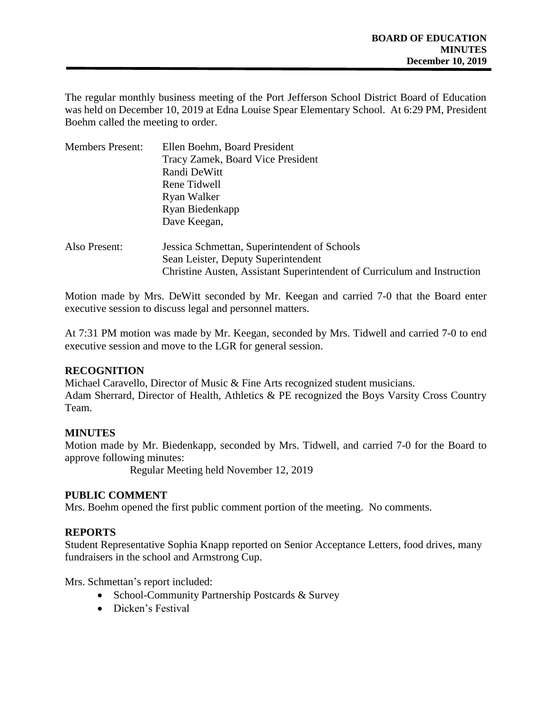The regular monthly business meeting of the Port Jefferson School District Board of Education was held on December 10, 2019 at Edna Louise Spear Elementary School. At 6:29 PM, President Boehm called the meeting to order.

| <b>Members Present:</b> | Ellen Boehm, Board President                                             |
|-------------------------|--------------------------------------------------------------------------|
|                         | Tracy Zamek, Board Vice President                                        |
|                         | Randi DeWitt                                                             |
|                         | Rene Tidwell                                                             |
|                         | Ryan Walker                                                              |
|                         | Ryan Biedenkapp                                                          |
|                         | Dave Keegan,                                                             |
| Also Present:           | Jessica Schmettan, Superintendent of Schools                             |
|                         | Sean Leister, Deputy Superintendent                                      |
|                         | Christine Austen, Assistant Superintendent of Curriculum and Instruction |
|                         |                                                                          |

Motion made by Mrs. DeWitt seconded by Mr. Keegan and carried 7-0 that the Board enter executive session to discuss legal and personnel matters.

At 7:31 PM motion was made by Mr. Keegan, seconded by Mrs. Tidwell and carried 7-0 to end executive session and move to the LGR for general session.

## **RECOGNITION**

Michael Caravello, Director of Music & Fine Arts recognized student musicians. Adam Sherrard, Director of Health, Athletics & PE recognized the Boys Varsity Cross Country Team.

# **MINUTES**

Motion made by Mr. Biedenkapp, seconded by Mrs. Tidwell, and carried 7-0 for the Board to approve following minutes:

Regular Meeting held November 12, 2019

# **PUBLIC COMMENT**

Mrs. Boehm opened the first public comment portion of the meeting. No comments.

# **REPORTS**

Student Representative Sophia Knapp reported on Senior Acceptance Letters, food drives, many fundraisers in the school and Armstrong Cup.

Mrs. Schmettan's report included:

- School-Community Partnership Postcards & Survey
- Dicken's Festival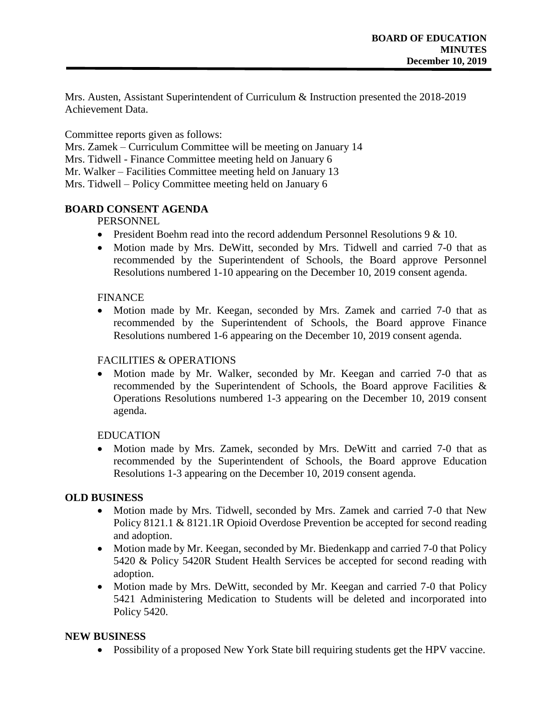Mrs. Austen, Assistant Superintendent of Curriculum & Instruction presented the 2018-2019 Achievement Data.

Committee reports given as follows:

Mrs. Zamek – Curriculum Committee will be meeting on January 14

Mrs. Tidwell - Finance Committee meeting held on January 6

Mr. Walker – Facilities Committee meeting held on January 13

Mrs. Tidwell – Policy Committee meeting held on January 6

## **BOARD CONSENT AGENDA**

## PERSONNEL

- President Boehm read into the record addendum Personnel Resolutions  $9 & 10$ .
- Motion made by Mrs. DeWitt, seconded by Mrs. Tidwell and carried 7-0 that as recommended by the Superintendent of Schools, the Board approve Personnel Resolutions numbered 1-10 appearing on the December 10, 2019 consent agenda.

## FINANCE

• Motion made by Mr. Keegan, seconded by Mrs. Zamek and carried 7-0 that as recommended by the Superintendent of Schools, the Board approve Finance Resolutions numbered 1-6 appearing on the December 10, 2019 consent agenda.

## FACILITIES & OPERATIONS

• Motion made by Mr. Walker, seconded by Mr. Keegan and carried 7-0 that as recommended by the Superintendent of Schools, the Board approve Facilities & Operations Resolutions numbered 1-3 appearing on the December 10, 2019 consent agenda.

## **EDUCATION**

• Motion made by Mrs. Zamek, seconded by Mrs. DeWitt and carried 7-0 that as recommended by the Superintendent of Schools, the Board approve Education Resolutions 1-3 appearing on the December 10, 2019 consent agenda.

## **OLD BUSINESS**

- Motion made by Mrs. Tidwell, seconded by Mrs. Zamek and carried 7-0 that New Policy 8121.1 & 8121.1R Opioid Overdose Prevention be accepted for second reading and adoption.
- Motion made by Mr. Keegan, seconded by Mr. Biedenkapp and carried 7-0 that Policy 5420 & Policy 5420R Student Health Services be accepted for second reading with adoption.
- Motion made by Mrs. DeWitt, seconded by Mr. Keegan and carried 7-0 that Policy 5421 Administering Medication to Students will be deleted and incorporated into Policy 5420.

# **NEW BUSINESS**

Possibility of a proposed New York State bill requiring students get the HPV vaccine.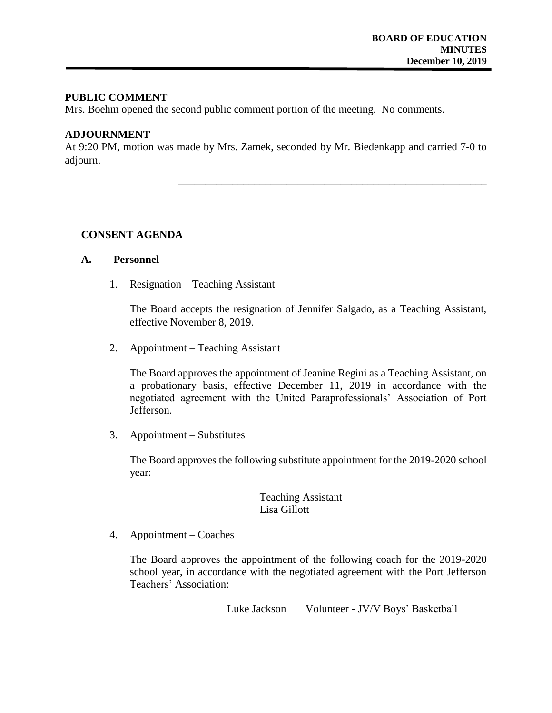### **PUBLIC COMMENT**

Mrs. Boehm opened the second public comment portion of the meeting. No comments.

#### **ADJOURNMENT**

At 9:20 PM, motion was made by Mrs. Zamek, seconded by Mr. Biedenkapp and carried 7-0 to adjourn.

## **CONSENT AGENDA**

#### **A. Personnel**

1. Resignation – Teaching Assistant

The Board accepts the resignation of Jennifer Salgado, as a Teaching Assistant, effective November 8, 2019.

\_\_\_\_\_\_\_\_\_\_\_\_\_\_\_\_\_\_\_\_\_\_\_\_\_\_\_\_\_\_\_\_\_\_\_\_\_\_\_\_\_\_\_\_\_\_\_\_\_\_\_\_\_\_\_\_\_

2. Appointment – Teaching Assistant

The Board approves the appointment of Jeanine Regini as a Teaching Assistant, on a probationary basis, effective December 11, 2019 in accordance with the negotiated agreement with the United Paraprofessionals' Association of Port Jefferson.

3. Appointment – Substitutes

The Board approves the following substitute appointment for the 2019-2020 school year:

## Teaching Assistant Lisa Gillott

4. Appointment – Coaches

The Board approves the appointment of the following coach for the 2019-2020 school year, in accordance with the negotiated agreement with the Port Jefferson Teachers' Association:

Luke Jackson Volunteer - JV/V Boys' Basketball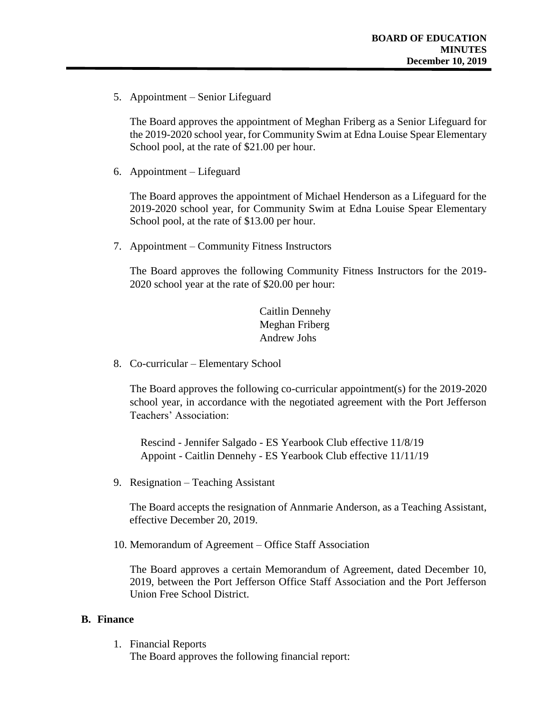5. Appointment – Senior Lifeguard

The Board approves the appointment of Meghan Friberg as a Senior Lifeguard for the 2019-2020 school year, for Community Swim at Edna Louise Spear Elementary School pool, at the rate of \$21.00 per hour.

6. Appointment – Lifeguard

The Board approves the appointment of Michael Henderson as a Lifeguard for the 2019-2020 school year, for Community Swim at Edna Louise Spear Elementary School pool, at the rate of \$13.00 per hour.

7. Appointment – Community Fitness Instructors

The Board approves the following Community Fitness Instructors for the 2019- 2020 school year at the rate of \$20.00 per hour:

> Caitlin Dennehy Meghan Friberg Andrew Johs

8. Co-curricular – Elementary School

The Board approves the following co-curricular appointment(s) for the 2019-2020 school year, in accordance with the negotiated agreement with the Port Jefferson Teachers' Association:

 Rescind - Jennifer Salgado - ES Yearbook Club effective 11/8/19 Appoint - Caitlin Dennehy - ES Yearbook Club effective 11/11/19

9. Resignation – Teaching Assistant

The Board accepts the resignation of Annmarie Anderson, as a Teaching Assistant, effective December 20, 2019.

10. Memorandum of Agreement – Office Staff Association

The Board approves a certain Memorandum of Agreement, dated December 10, 2019, between the Port Jefferson Office Staff Association and the Port Jefferson Union Free School District.

#### **B. Finance**

1. Financial Reports

The Board approves the following financial report: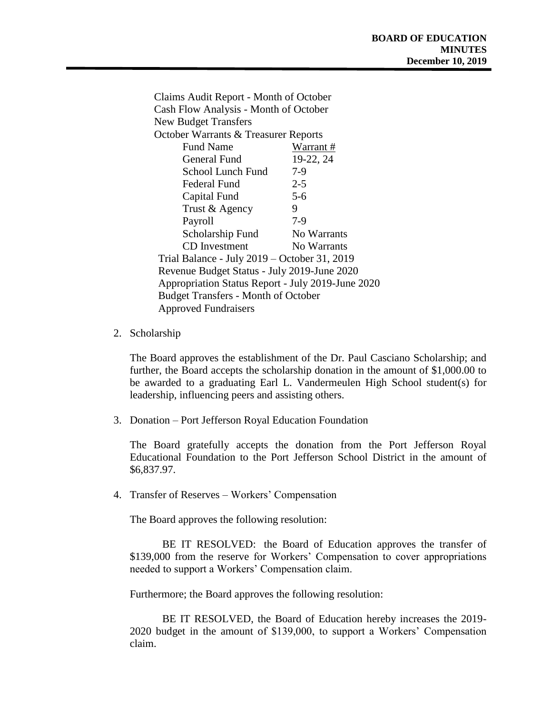Claims Audit Report - Month of October Cash Flow Analysis - Month of October New Budget Transfers October Warrants & Treasurer Reports Fund Name Warrant # General Fund 19-22, 24 School Lunch Fund 7-9 Federal Fund 2-5 Capital Fund 5-6 Trust & Agency 9 Payroll 7-9 Scholarship Fund No Warrants CD Investment No Warrants Trial Balance - July 2019 – October 31, 2019 Revenue Budget Status - July 2019-June 2020 Appropriation Status Report - July 2019-June 2020 Budget Transfers - Month of October Approved Fundraisers

2. Scholarship

The Board approves the establishment of the Dr. Paul Casciano Scholarship; and further, the Board accepts the scholarship donation in the amount of \$1,000.00 to be awarded to a graduating Earl L. Vandermeulen High School student(s) for leadership, influencing peers and assisting others.

3. Donation – Port Jefferson Royal Education Foundation

The Board gratefully accepts the donation from the Port Jefferson Royal Educational Foundation to the Port Jefferson School District in the amount of \$6,837.97.

4. Transfer of Reserves – Workers' Compensation

The Board approves the following resolution:

BE IT RESOLVED: the Board of Education approves the transfer of \$139,000 from the reserve for Workers' Compensation to cover appropriations needed to support a Workers' Compensation claim.

Furthermore; the Board approves the following resolution:

BE IT RESOLVED, the Board of Education hereby increases the 2019- 2020 budget in the amount of \$139,000, to support a Workers' Compensation claim.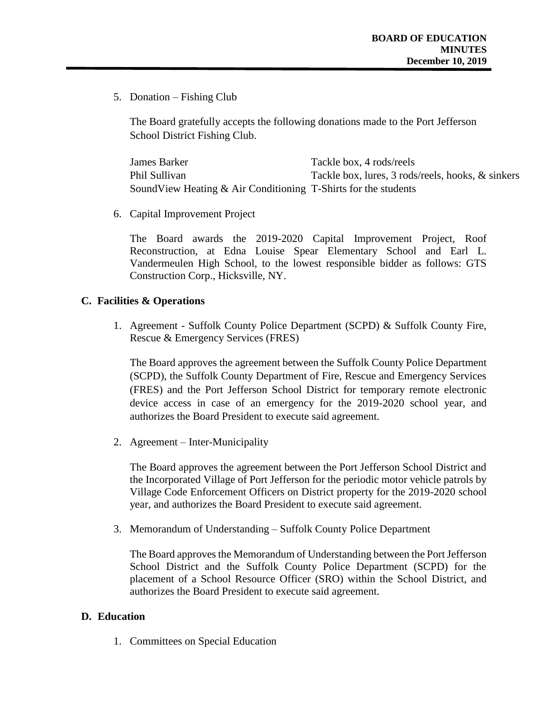5. Donation – Fishing Club

The Board gratefully accepts the following donations made to the Port Jefferson School District Fishing Club.

James Barker Tackle box, 4 rods/reels Phil Sullivan Tackle box, lures, 3 rods/reels, hooks, & sinkers SoundView Heating & Air Conditioning T-Shirts for the students

6. Capital Improvement Project

The Board awards the 2019-2020 Capital Improvement Project, Roof Reconstruction, at Edna Louise Spear Elementary School and Earl L. Vandermeulen High School, to the lowest responsible bidder as follows: GTS Construction Corp., Hicksville, NY.

#### **C. Facilities & Operations**

1. Agreement - Suffolk County Police Department (SCPD) & Suffolk County Fire, Rescue & Emergency Services (FRES)

The Board approves the agreement between the Suffolk County Police Department (SCPD), the Suffolk County Department of Fire, Rescue and Emergency Services (FRES) and the Port Jefferson School District for temporary remote electronic device access in case of an emergency for the 2019-2020 school year, and authorizes the Board President to execute said agreement.

2. Agreement – Inter-Municipality

The Board approves the agreement between the Port Jefferson School District and the Incorporated Village of Port Jefferson for the periodic motor vehicle patrols by Village Code Enforcement Officers on District property for the 2019-2020 school year, and authorizes the Board President to execute said agreement.

3. Memorandum of Understanding – Suffolk County Police Department

The Board approves the Memorandum of Understanding between the Port Jefferson School District and the Suffolk County Police Department (SCPD) for the placement of a School Resource Officer (SRO) within the School District, and authorizes the Board President to execute said agreement.

#### **D. Education**

1. Committees on Special Education